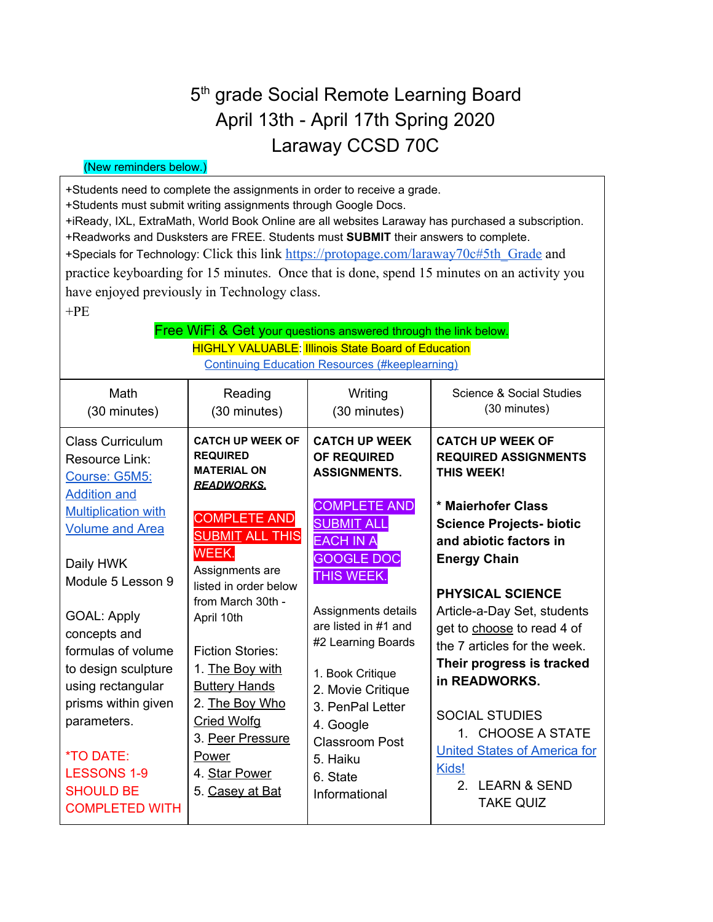## 5<sup>th</sup> grade Social Remote Learning Board April 13th - April 17th Spring 2020 Laraway CCSD 70C

## (New reminders below.)

+Students need to complete the assignments in order to receive a grade.

+Students must submit writing assignments through Google Docs.

+iReady, IXL, ExtraMath, World Book Online are all websites Laraway has purchased a subscription.

+Readworks and Dusksters are FREE. Students must **SUBMIT** their answers to complete.

+Specials for Technology: Click this link [https://protopage.com/laraway70c#5th\\_Grade](https://protopage.com/laraway70c#5th_Grade) and

practice keyboarding for 15 minutes. Once that is done, spend 15 minutes on an activity you have enjoyed previously in Technology class.

 $+PE$ 

## Free WiFi & Get your questions answered through the link below. **HIGHLY VALUABLE:** Illinois State Board of Education Continuing Education Resources [\(#keeplearning\)](https://www.isbe.net/Pages/ContinueEDResources.aspx)

| Math<br>(30 minutes)                                                                                                                                                                                                                                                                                                                                                                                             | Reading<br>(30 minutes)                                                                                                                                                                                                                                                                                                                                                                                       | Writing<br>(30 minutes)                                                                                                                                                                                                                                                                                                                                                               | Science & Social Studies<br>(30 minutes)                                                                                                                                                                                                                                                                                                                                                                                                                                                                       |
|------------------------------------------------------------------------------------------------------------------------------------------------------------------------------------------------------------------------------------------------------------------------------------------------------------------------------------------------------------------------------------------------------------------|---------------------------------------------------------------------------------------------------------------------------------------------------------------------------------------------------------------------------------------------------------------------------------------------------------------------------------------------------------------------------------------------------------------|---------------------------------------------------------------------------------------------------------------------------------------------------------------------------------------------------------------------------------------------------------------------------------------------------------------------------------------------------------------------------------------|----------------------------------------------------------------------------------------------------------------------------------------------------------------------------------------------------------------------------------------------------------------------------------------------------------------------------------------------------------------------------------------------------------------------------------------------------------------------------------------------------------------|
| Class Curriculum<br>Resource Link:<br>Course: G5M5:<br><b>Addition and</b><br><b>Multiplication with</b><br><b>Volume and Area</b><br>Daily HWK<br>Module 5 Lesson 9<br><b>GOAL: Apply</b><br>concepts and<br>formulas of volume<br>to design sculpture<br>using rectangular<br>prisms within given<br>parameters.<br><i><b>*TO DATE:</b></i><br><b>LESSONS 1-9</b><br><b>SHOULD BE</b><br><b>COMPLETED WITH</b> | <b>CATCH UP WEEK OF</b><br><b>REQUIRED</b><br><b>MATERIAL ON</b><br><b>READWORKS.</b><br><b>COMPLETE AND</b><br><b>SUBMIT ALL THIS</b><br>WEEK.<br>Assignments are<br>listed in order below<br>from March 30th -<br>April 10th<br><b>Fiction Stories:</b><br>1. The Boy with<br><b>Buttery Hands</b><br>2. The Boy Who<br><b>Cried Wolfg</b><br>3. Peer Pressure<br>Power<br>4. Star Power<br>5. Casey at Bat | <b>CATCH UP WEEK</b><br><b>OF REQUIRED</b><br><b>ASSIGNMENTS.</b><br><b>COMPLETE AND</b><br><b>SUBMIT ALL</b><br><b>EACH IN A</b><br><b>GOOGLE DOC</b><br>THIS WEEK.<br>Assignments details<br>are listed in #1 and<br>#2 Learning Boards<br>1. Book Critique<br>2. Movie Critique<br>3. PenPal Letter<br>4. Google<br><b>Classroom Post</b><br>5. Haiku<br>6. State<br>Informational | <b>CATCH UP WEEK OF</b><br><b>REQUIRED ASSIGNMENTS</b><br><b>THIS WEEK!</b><br>* Maierhofer Class<br><b>Science Projects- biotic</b><br>and abiotic factors in<br><b>Energy Chain</b><br><b>PHYSICAL SCIENCE</b><br>Article-a-Day Set, students<br>get to choose to read 4 of<br>the 7 articles for the week.<br>Their progress is tracked<br>in READWORKS.<br><b>SOCIAL STUDIES</b><br>1. CHOOSE A STATE<br><b>United States of America for</b><br>Kids!<br>2.<br><b>LEARN &amp; SEND</b><br><b>TAKE QUIZ</b> |
|                                                                                                                                                                                                                                                                                                                                                                                                                  |                                                                                                                                                                                                                                                                                                                                                                                                               |                                                                                                                                                                                                                                                                                                                                                                                       |                                                                                                                                                                                                                                                                                                                                                                                                                                                                                                                |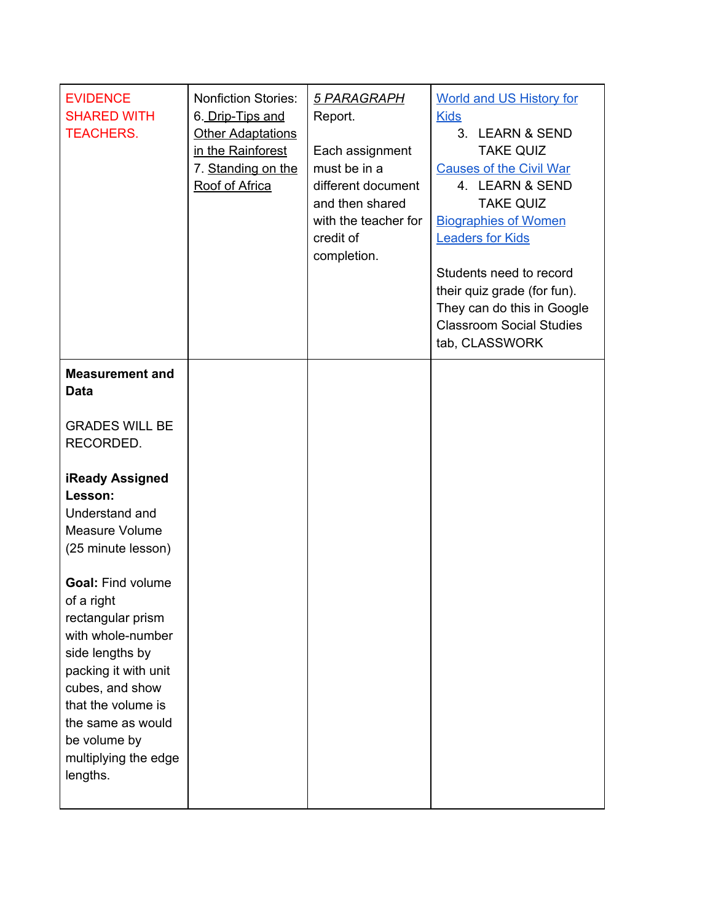| <b>EVIDENCE</b><br><b>SHARED WITH</b><br><b>TEACHERS.</b>                                                                                                                                                                                     | <b>Nonfiction Stories:</b><br>6. Drip-Tips and<br><b>Other Adaptations</b><br>in the Rainforest<br>7. Standing on the<br>Roof of Africa | 5 PARAGRAPH<br>Report.<br>Each assignment<br>must be in a<br>different document<br>and then shared<br>with the teacher for<br>credit of<br>completion. | <b>World and US History for</b><br><b>Kids</b><br>3. LEARN & SEND<br><b>TAKE QUIZ</b><br><b>Causes of the Civil War</b><br>4. LEARN & SEND<br><b>TAKE QUIZ</b><br><b>Biographies of Women</b><br><b>Leaders for Kids</b><br>Students need to record<br>their quiz grade (for fun).<br>They can do this in Google<br><b>Classroom Social Studies</b><br>tab, CLASSWORK |
|-----------------------------------------------------------------------------------------------------------------------------------------------------------------------------------------------------------------------------------------------|-----------------------------------------------------------------------------------------------------------------------------------------|--------------------------------------------------------------------------------------------------------------------------------------------------------|-----------------------------------------------------------------------------------------------------------------------------------------------------------------------------------------------------------------------------------------------------------------------------------------------------------------------------------------------------------------------|
| <b>Measurement and</b><br><b>Data</b>                                                                                                                                                                                                         |                                                                                                                                         |                                                                                                                                                        |                                                                                                                                                                                                                                                                                                                                                                       |
| <b>GRADES WILL BE</b><br>RECORDED.                                                                                                                                                                                                            |                                                                                                                                         |                                                                                                                                                        |                                                                                                                                                                                                                                                                                                                                                                       |
| <b>iReady Assigned</b><br>Lesson:<br>Understand and<br>Measure Volume<br>(25 minute lesson)                                                                                                                                                   |                                                                                                                                         |                                                                                                                                                        |                                                                                                                                                                                                                                                                                                                                                                       |
| <b>Goal: Find volume</b><br>of a right<br>rectangular prism<br>with whole-number<br>side lengths by<br>packing it with unit<br>cubes, and show<br>that the volume is<br>the same as would<br>be volume by<br>multiplying the edge<br>lengths. |                                                                                                                                         |                                                                                                                                                        |                                                                                                                                                                                                                                                                                                                                                                       |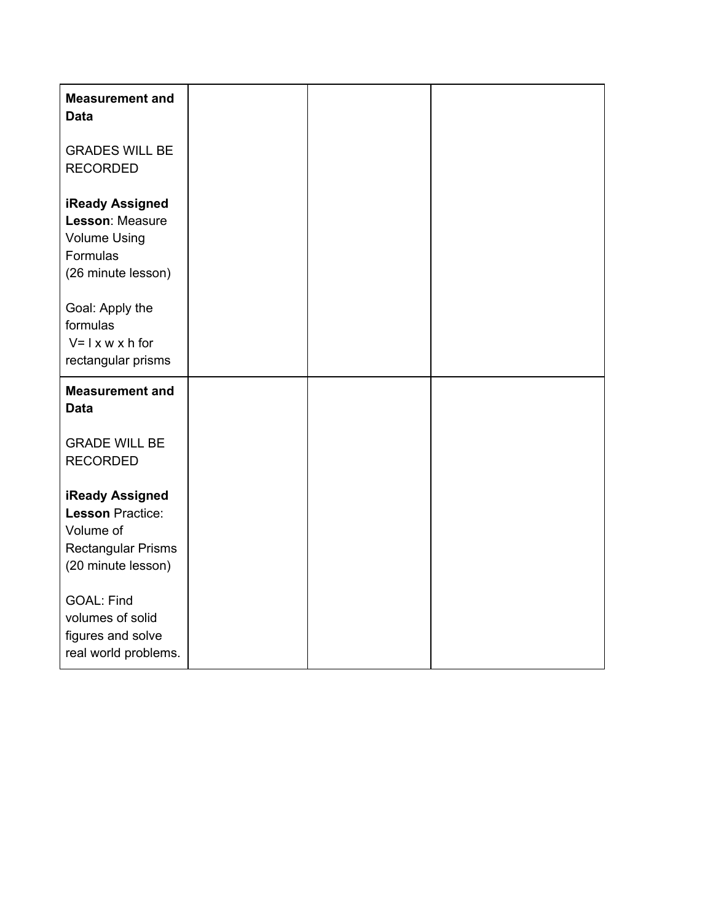| <b>Measurement and</b><br><b>Data</b>                                                                             |  |  |
|-------------------------------------------------------------------------------------------------------------------|--|--|
| <b>GRADES WILL BE</b><br><b>RECORDED</b>                                                                          |  |  |
| <b>iReady Assigned</b><br>Lesson: Measure<br><b>Volume Using</b><br>Formulas<br>(26 minute lesson)                |  |  |
| Goal: Apply the<br>formulas<br>$V = I \times W \times h$ for<br>rectangular prisms                                |  |  |
| <b>Measurement and</b><br><b>Data</b>                                                                             |  |  |
| <b>GRADE WILL BE</b><br><b>RECORDED</b>                                                                           |  |  |
| <b>iReady Assigned</b><br><b>Lesson Practice:</b><br>Volume of<br><b>Rectangular Prisms</b><br>(20 minute lesson) |  |  |
| <b>GOAL: Find</b><br>volumes of solid<br>figures and solve<br>real world problems.                                |  |  |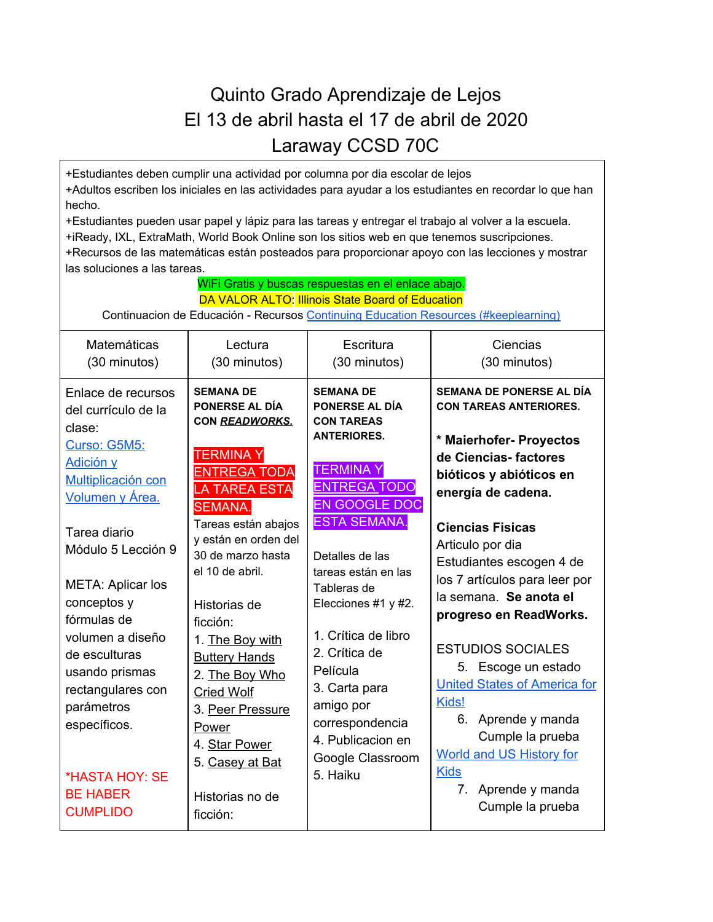## Quinto Grado Aprendizaje de Lejos El 13 de abril hasta el 17 de abril de 2020 Laraway CCSD 70C

+Estudiantes deben cumplir una actividad por columna por dia escolar de lejos +Adultos escriben los iniciales en las actividades para ayudar a los estudiantes en recordar lo que han hecho. +Estudiantes pueden usar papel y lápiz para las tareas y entregar el trabajo al volver a la escuela. +iReady, IXL, ExtraMath, World Book Online son los sitios web en que tenemos suscripciones. +Recursos de las matemáticas están posteados para proporcionar apoyo con las lecciones y mostrar

| las soluciones a las tareas.                                                                                                                                                                                                                                                                                                                                                                |                                                                                                                                                                                                                                                                                                                                                                                                                                                      |                                                                                                                                                                                                                                                                                                                                                                                                                  |                                                                                                                                                                                                                                                                                                                                                                                                                                                                                                                                                                           |  |
|---------------------------------------------------------------------------------------------------------------------------------------------------------------------------------------------------------------------------------------------------------------------------------------------------------------------------------------------------------------------------------------------|------------------------------------------------------------------------------------------------------------------------------------------------------------------------------------------------------------------------------------------------------------------------------------------------------------------------------------------------------------------------------------------------------------------------------------------------------|------------------------------------------------------------------------------------------------------------------------------------------------------------------------------------------------------------------------------------------------------------------------------------------------------------------------------------------------------------------------------------------------------------------|---------------------------------------------------------------------------------------------------------------------------------------------------------------------------------------------------------------------------------------------------------------------------------------------------------------------------------------------------------------------------------------------------------------------------------------------------------------------------------------------------------------------------------------------------------------------------|--|
| WiFi Gratis y buscas respuestas en el enlace abajo.<br>DA VALOR ALTO: Illinois State Board of Education<br>Continuacion de Educación - Recursos Continuing Education Resources (#keeplearning)                                                                                                                                                                                              |                                                                                                                                                                                                                                                                                                                                                                                                                                                      |                                                                                                                                                                                                                                                                                                                                                                                                                  |                                                                                                                                                                                                                                                                                                                                                                                                                                                                                                                                                                           |  |
| Matemáticas<br>(30 minutos)                                                                                                                                                                                                                                                                                                                                                                 | Lectura<br>(30 minutos)                                                                                                                                                                                                                                                                                                                                                                                                                              | Escritura<br>(30 minutos)                                                                                                                                                                                                                                                                                                                                                                                        | Ciencias<br>(30 minutos)                                                                                                                                                                                                                                                                                                                                                                                                                                                                                                                                                  |  |
| Enlace de recursos<br>del currículo de la<br>clase:<br>Curso: G5M5:<br>Adición y<br>Multiplicación con<br>Volumen y Área.<br>Tarea diario<br>Módulo 5 Lección 9<br><b>META: Aplicar los</b><br>conceptos y<br>fórmulas de<br>volumen a diseño<br>de esculturas<br>usando prismas<br>rectangulares con<br>parámetros<br>específicos.<br>*HASTA HOY: SE<br><b>BE HABER</b><br><b>CUMPLIDO</b> | <b>SEMANA DE</b><br><b>PONERSE AL DIA</b><br>CON READWORKS.<br><b>TERMINAY</b><br><b>ENTREGA TODA</b><br><b>LA TAREA ESTA</b><br><b>SEMANA.</b><br>Tareas están abajos<br>y están en orden del<br>30 de marzo hasta<br>el 10 de abril.<br>Historias de<br>ficción:<br>1. The Boy with<br><b>Buttery Hands</b><br>2. The Boy Who<br><b>Cried Wolf</b><br>3. Peer Pressure<br>Power<br>4. Star Power<br>5. Casey at Bat<br>Historias no de<br>ficción: | <b>SEMANA DE</b><br>PONERSE AL DÍA<br><b>CON TAREAS</b><br><b>ANTERIORES.</b><br><b>TERMINAY</b><br><b>ENTREGA TODO</b><br><b>EN GOOGLE DOC</b><br><b>ESTA SEMANA.</b><br>Detalles de las<br>tareas están en las<br>Tableras de<br>Elecciones #1 y #2.<br>1. Crítica de libro<br>2. Crítica de<br>Película<br>3. Carta para<br>amigo por<br>correspondencia<br>4. Publicacion en<br>Google Classroom<br>5. Haiku | SEMANA DE PONERSE AL DÍA<br><b>CON TAREAS ANTERIORES.</b><br>* Maierhofer- Proyectos<br>de Ciencias-factores<br>bióticos y abióticos en<br>energía de cadena.<br><b>Ciencias Fisicas</b><br>Articulo por dia<br>Estudiantes escogen 4 de<br>los 7 artículos para leer por<br>la semana. Se anota el<br>progreso en ReadWorks.<br><b>ESTUDIOS SOCIALES</b><br>5. Escoge un estado<br><b>United States of America for</b><br>Kids!<br>6. Aprende y manda<br>Cumple la prueba<br><b>World and US History for</b><br><b>Kids</b><br>Aprende y manda<br>7.<br>Cumple la prueba |  |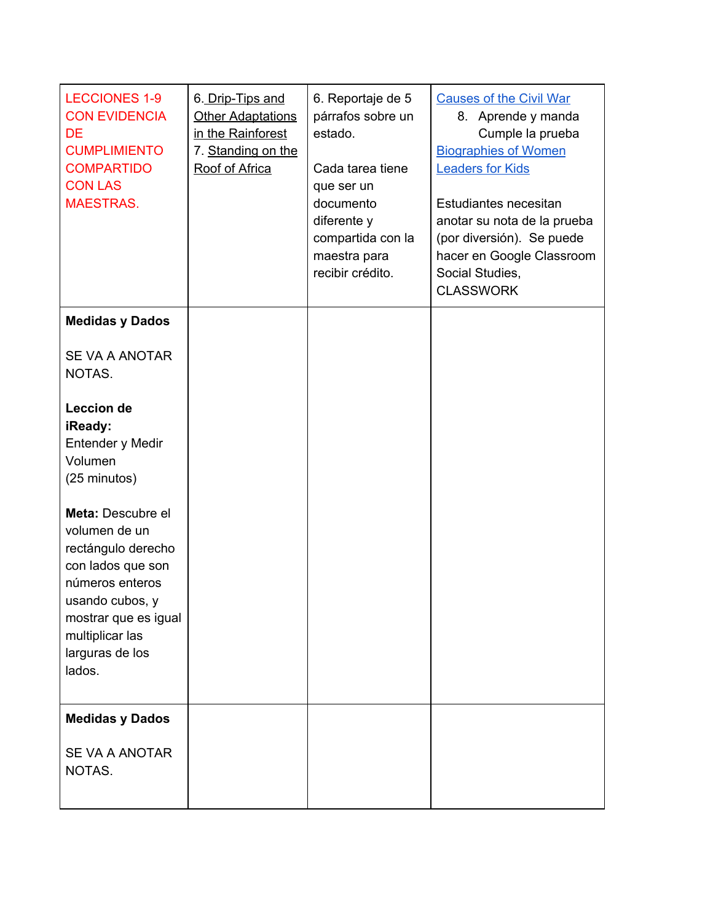| <b>LECCIONES 1-9</b><br><b>CON EVIDENCIA</b><br><b>DE</b><br><b>CUMPLIMIENTO</b><br><b>COMPARTIDO</b><br><b>CON LAS</b><br><b>MAESTRAS.</b>                                                                                                                                | 6. Drip-Tips and<br><b>Other Adaptations</b><br>in the Rainforest<br>7. Standing on the<br>Roof of Africa | 6. Reportaje de 5<br>párrafos sobre un<br>estado.<br>Cada tarea tiene<br>que ser un<br>documento<br>diferente y<br>compartida con la<br>maestra para<br>recibir crédito. | <b>Causes of the Civil War</b><br>8. Aprende y manda<br>Cumple la prueba<br><b>Biographies of Women</b><br><b>Leaders for Kids</b><br>Estudiantes necesitan<br>anotar su nota de la prueba<br>(por diversión). Se puede<br>hacer en Google Classroom<br>Social Studies,<br><b>CLASSWORK</b> |
|----------------------------------------------------------------------------------------------------------------------------------------------------------------------------------------------------------------------------------------------------------------------------|-----------------------------------------------------------------------------------------------------------|--------------------------------------------------------------------------------------------------------------------------------------------------------------------------|---------------------------------------------------------------------------------------------------------------------------------------------------------------------------------------------------------------------------------------------------------------------------------------------|
| <b>Medidas y Dados</b>                                                                                                                                                                                                                                                     |                                                                                                           |                                                                                                                                                                          |                                                                                                                                                                                                                                                                                             |
| SE VA A ANOTAR<br>NOTAS.                                                                                                                                                                                                                                                   |                                                                                                           |                                                                                                                                                                          |                                                                                                                                                                                                                                                                                             |
| <b>Leccion de</b><br>iReady:<br>Entender y Medir<br>Volumen<br>(25 minutos)<br>Meta: Descubre el<br>volumen de un<br>rectángulo derecho<br>con lados que son<br>números enteros<br>usando cubos, y<br>mostrar que es igual<br>multiplicar las<br>larguras de los<br>lados. |                                                                                                           |                                                                                                                                                                          |                                                                                                                                                                                                                                                                                             |
| <b>Medidas y Dados</b><br>SE VA A ANOTAR<br>NOTAS.                                                                                                                                                                                                                         |                                                                                                           |                                                                                                                                                                          |                                                                                                                                                                                                                                                                                             |